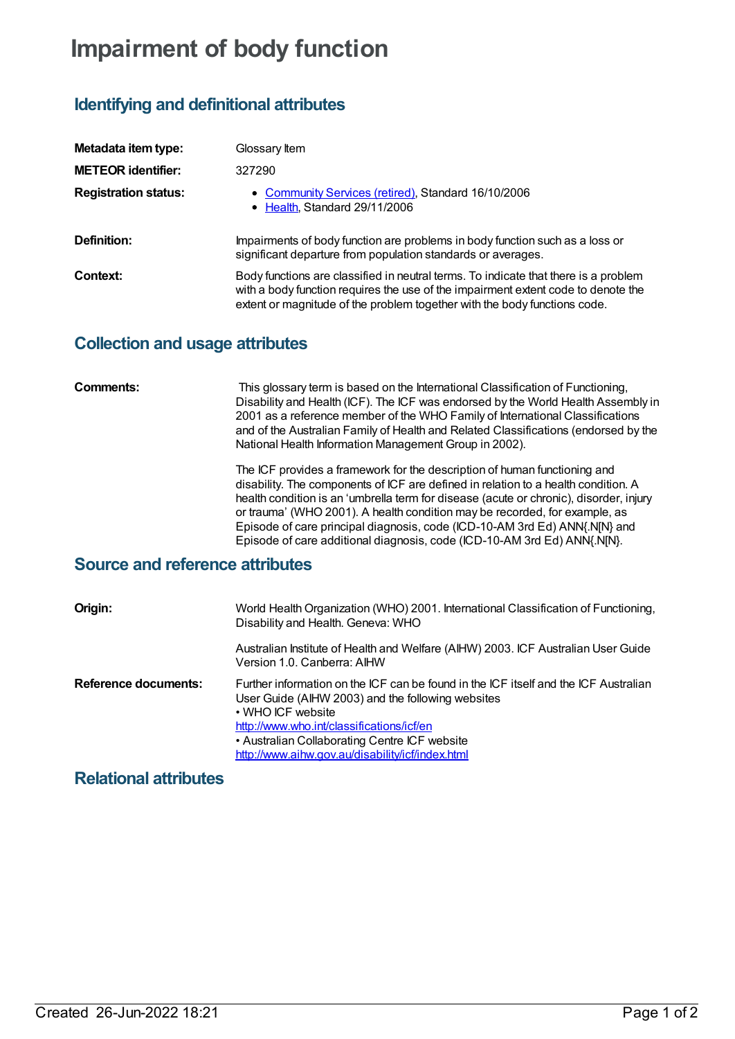# **Impairment of body function**

# **Identifying and definitional attributes**

| Metadata item type:         | Glossary Item                                                                                                                                                                                                                                         |
|-----------------------------|-------------------------------------------------------------------------------------------------------------------------------------------------------------------------------------------------------------------------------------------------------|
| <b>METEOR identifier:</b>   | 327290                                                                                                                                                                                                                                                |
| <b>Registration status:</b> | • Community Services (retired), Standard 16/10/2006<br>• Health, Standard 29/11/2006                                                                                                                                                                  |
| Definition:                 | Impairments of body function are problems in body function such as a loss or<br>significant departure from population standards or averages.                                                                                                          |
| Context:                    | Body functions are classified in neutral terms. To indicate that there is a problem<br>with a body function requires the use of the impairment extent code to denote the<br>extent or magnitude of the problem together with the body functions code. |

#### **Collection and usage attributes**

| Comments: | This glossary term is based on the International Classification of Functioning,<br>Disability and Health (ICF). The ICF was endorsed by the World Health Assembly in<br>2001 as a reference member of the WHO Family of International Classifications |
|-----------|-------------------------------------------------------------------------------------------------------------------------------------------------------------------------------------------------------------------------------------------------------|
|           | and of the Australian Family of Health and Related Classifications (endorsed by the<br>National Health Information Management Group in 2002).                                                                                                         |

The ICF provides a framework for the description of human functioning and disability. The components of ICF are defined in relation to a health condition. A health condition is an 'umbrella term for disease (acute or chronic), disorder, injury or trauma' (WHO 2001). A health condition may be recorded, for example, as Episode of care principal diagnosis, code (ICD-10-AM 3rd Ed) ANN{.N[N} and Episode of care additional diagnosis, code (ICD-10-AM 3rd Ed) ANN{.N[N}.

## **Source and reference attributes**

| Origin:              | World Health Organization (WHO) 2001. International Classification of Functioning,<br>Disability and Health. Geneva: WHO                                                                                                                                                                                         |
|----------------------|------------------------------------------------------------------------------------------------------------------------------------------------------------------------------------------------------------------------------------------------------------------------------------------------------------------|
|                      | Australian Institute of Health and Welfare (AIHW) 2003. ICF Australian User Guide<br>Version 1.0. Canberra: AIHW                                                                                                                                                                                                 |
| Reference documents: | Further information on the ICF can be found in the ICF itself and the ICF Australian<br>User Guide (AIHW 2003) and the following websites<br>• WHO ICF website<br>http://www.who.int/classifications/icf/en<br>• Australian Collaborating Centre ICF website<br>http://www.aihw.gov.au/disability/icf/index.html |

### **Relational attributes**